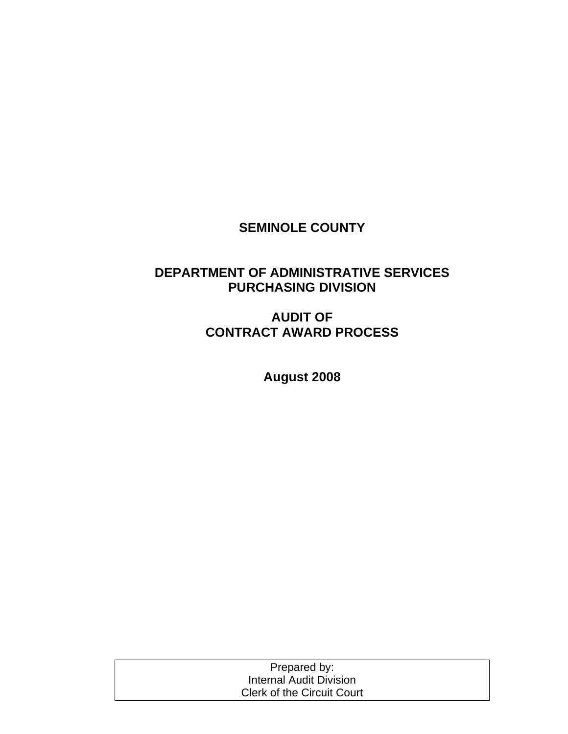## **SEMINOLE COUNTY**

## **DEPARTMENT OF ADMINISTRATIVE SERVICES PURCHASING DIVISION**

## **AUDIT OF CONTRACT AWARD PROCESS**

**August 2008** 

| Prepared by:                      |  |
|-----------------------------------|--|
| Internal Audit Division           |  |
| <b>Clerk of the Circuit Court</b> |  |
|                                   |  |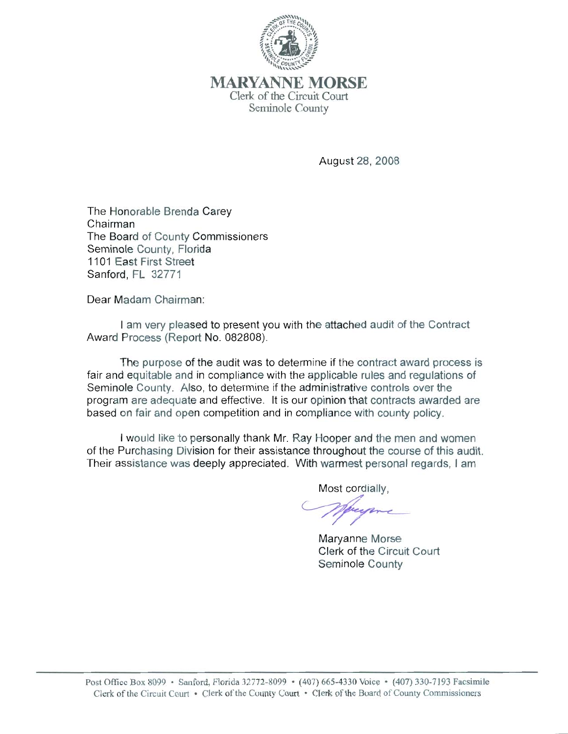

**MARYANNE MORSE** Clerk of the Circuit Court Seminole County

August 28, 2008

The Honorable Brenda Carey Chairman The Board of County Commissioners Seminole County, Florida 1101 East First Street Sanford, FL 32771

Dear Madam Chairman:

I am very pleased to present you with the attached audit of the Contract Award Process (Report No. 082808).

The purpose of the audit was to determine if the contract award process is fair and equitable and in compliance with the applicable rules and regulations of Seminole County. Also, to determine if the administrative controls over the program are adequate and effective. It is our opinion that contracts awarded are based on fair and open competition and in compliance with county policy.

I would like to personally thank Mr. Ray Hooper and the men and women of the Purchasing Division for their assistance throughout the course of this audit. Their assistance was deeply appreciated. With warmest personal regards, I am

Most cordially.

Maryanne Morse Clerk of the Circuit Court Seminole County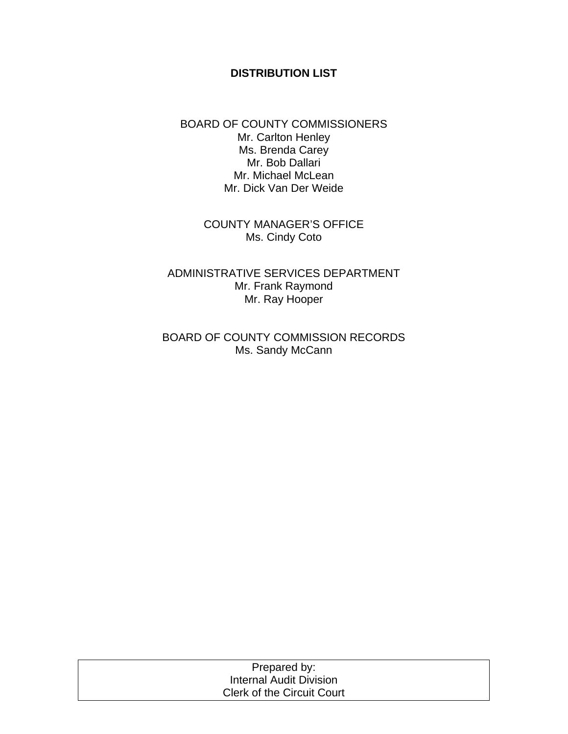#### **DISTRIBUTION LIST**

#### BOARD OF COUNTY COMMISSIONERS Mr. Carlton Henley Ms. Brenda Carey Mr. Bob Dallari Mr. Michael McLean Mr. Dick Van Der Weide

COUNTY MANAGER'S OFFICE Ms. Cindy Coto

ADMINISTRATIVE SERVICES DEPARTMENT Mr. Frank Raymond Mr. Ray Hooper

BOARD OF COUNTY COMMISSION RECORDS Ms. Sandy McCann

| Prepared by:                      |  |
|-----------------------------------|--|
| Internal Audit Division           |  |
| <b>Clerk of the Circuit Court</b> |  |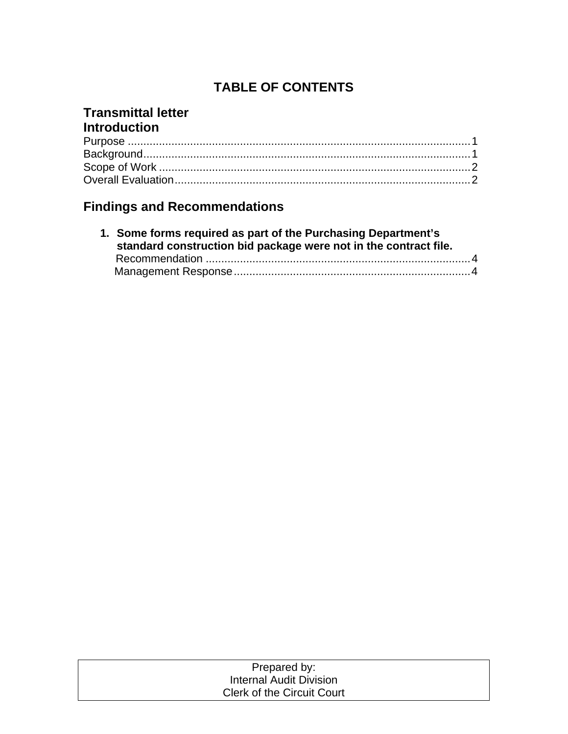# **TABLE OF CONTENTS**

## **Transmittal letter Introduction**

# **Findings and Recommendations**

| 1. Some forms required as part of the Purchasing Department's<br>standard construction bid package were not in the contract file. |  |  |
|-----------------------------------------------------------------------------------------------------------------------------------|--|--|
|                                                                                                                                   |  |  |
|                                                                                                                                   |  |  |

| Prepared by:                      |  |
|-----------------------------------|--|
| Internal Audit Division           |  |
| <b>Clerk of the Circuit Court</b> |  |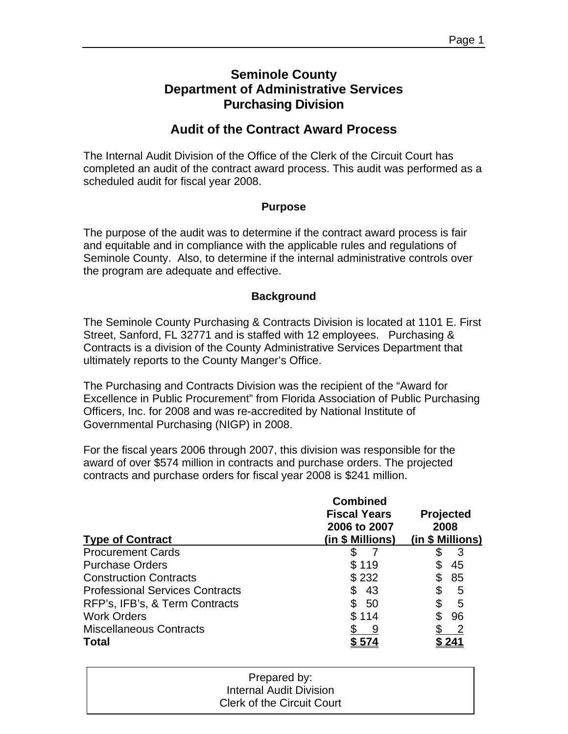## **Seminole County Department of Administrative Services Purchasing Division**

## **Audit of the Contract Award Process**

The Internal Audit Division of the Office of the Clerk of the Circuit Court has completed an audit of the contract award process. This audit was performed as a scheduled audit for fiscal year 2008.

#### **Purpose**

The purpose of the audit was to determine if the contract award process is fair and equitable and in compliance with the applicable rules and regulations of Seminole County. Also, to determine if the internal administrative controls over the program are adequate and effective.

#### **Background**

The Seminole County Purchasing & Contracts Division is located at 1101 E. First Street, Sanford, FL 32771 and is staffed with 12 employees. Purchasing & Contracts is a division of the County Administrative Services Department that ultimately reports to the County Manger's Office.

The Purchasing and Contracts Division was the recipient of the "Award for Excellence in Public Procurement" from Florida Association of Public Purchasing Officers, Inc. for 2008 and was re-accredited by National Institute of Governmental Purchasing (NIGP) in 2008.

For the fiscal years 2006 through 2007, this division was responsible for the award of over \$574 million in contracts and purchase orders. The projected contracts and purchase orders for fiscal year 2008 is \$241 million.

| <b>Type of Contract</b>                | <b>Combined</b><br><b>Fiscal Years</b><br>2006 to 2007<br>(in \$ Millions) | <b>Projected</b><br>2008<br>(in \$ Millions) |
|----------------------------------------|----------------------------------------------------------------------------|----------------------------------------------|
| <b>Procurement Cards</b>               |                                                                            | З                                            |
| <b>Purchase Orders</b>                 | \$119                                                                      | 45                                           |
| <b>Construction Contracts</b>          | \$232                                                                      | 85                                           |
| <b>Professional Services Contracts</b> | 43                                                                         | 5                                            |
| RFP's, IFB's, & Term Contracts         | 50                                                                         | 5                                            |
| <b>Work Orders</b>                     | \$114                                                                      | 96                                           |
| <b>Miscellaneous Contracts</b>         |                                                                            | $\overline{\phantom{a}}$                     |
| <b>Total</b>                           |                                                                            |                                              |

| Prepared by:                      |  |
|-----------------------------------|--|
| Internal Audit Division           |  |
| <b>Clerk of the Circuit Court</b> |  |
|                                   |  |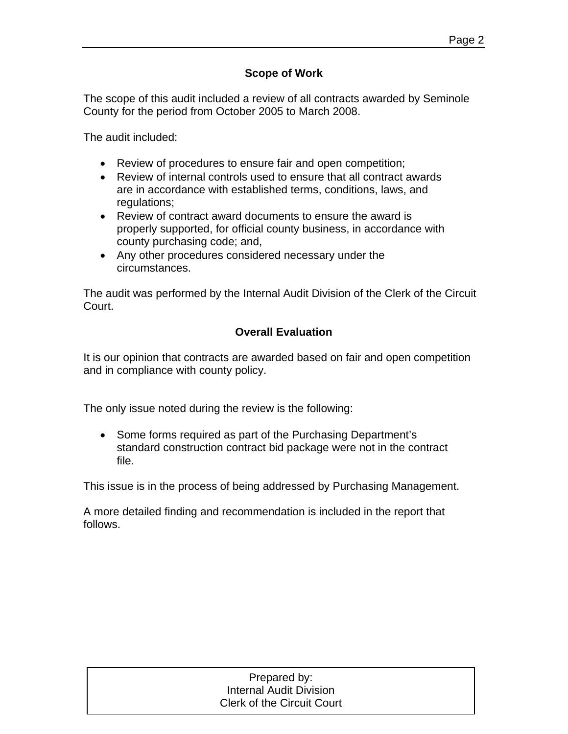#### **Scope of Work**

The scope of this audit included a review of all contracts awarded by Seminole County for the period from October 2005 to March 2008.

The audit included:

- Review of procedures to ensure fair and open competition;
- Review of internal controls used to ensure that all contract awards are in accordance with established terms, conditions, laws, and regulations;
- Review of contract award documents to ensure the award is properly supported, for official county business, in accordance with county purchasing code; and,
- Any other procedures considered necessary under the circumstances.

The audit was performed by the Internal Audit Division of the Clerk of the Circuit Court.

#### **Overall Evaluation**

It is our opinion that contracts are awarded based on fair and open competition and in compliance with county policy.

The only issue noted during the review is the following:

• Some forms required as part of the Purchasing Department's standard construction contract bid package were not in the contract file.

This issue is in the process of being addressed by Purchasing Management.

A more detailed finding and recommendation is included in the report that follows.

| Prepared by:                      |
|-----------------------------------|
| <b>Internal Audit Division</b>    |
| <b>Clerk of the Circuit Court</b> |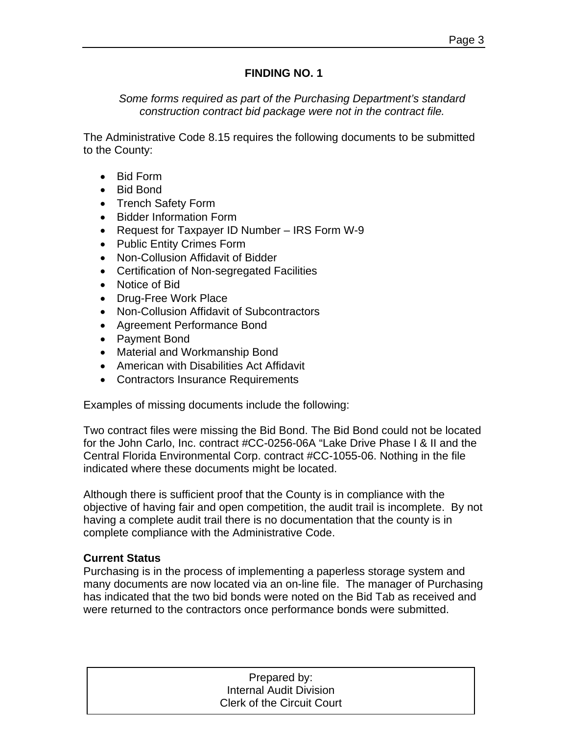#### **FINDING NO. 1**

*Some forms required as part of the Purchasing Department's standard construction contract bid package were not in the contract file.* 

The Administrative Code 8.15 requires the following documents to be submitted to the County:

- Bid Form
- Bid Bond
- Trench Safety Form
- Bidder Information Form
- Request for Taxpayer ID Number IRS Form W-9
- Public Entity Crimes Form
- Non-Collusion Affidavit of Bidder
- Certification of Non-segregated Facilities
- Notice of Bid
- Drug-Free Work Place
- Non-Collusion Affidavit of Subcontractors
- Agreement Performance Bond
- Payment Bond
- Material and Workmanship Bond
- American with Disabilities Act Affidavit
- Contractors Insurance Requirements

Examples of missing documents include the following:

Two contract files were missing the Bid Bond. The Bid Bond could not be located for the John Carlo, Inc. contract #CC-0256-06A "Lake Drive Phase I & II and the Central Florida Environmental Corp. contract #CC-1055-06. Nothing in the file indicated where these documents might be located.

Although there is sufficient proof that the County is in compliance with the objective of having fair and open competition, the audit trail is incomplete. By not having a complete audit trail there is no documentation that the county is in complete compliance with the Administrative Code.

#### **Current Status**

Purchasing is in the process of implementing a paperless storage system and many documents are now located via an on-line file. The manager of Purchasing has indicated that the two bid bonds were noted on the Bid Tab as received and were returned to the contractors once performance bonds were submitted.

| Prepared by:                      |  |
|-----------------------------------|--|
| Internal Audit Division           |  |
| <b>Clerk of the Circuit Court</b> |  |
|                                   |  |